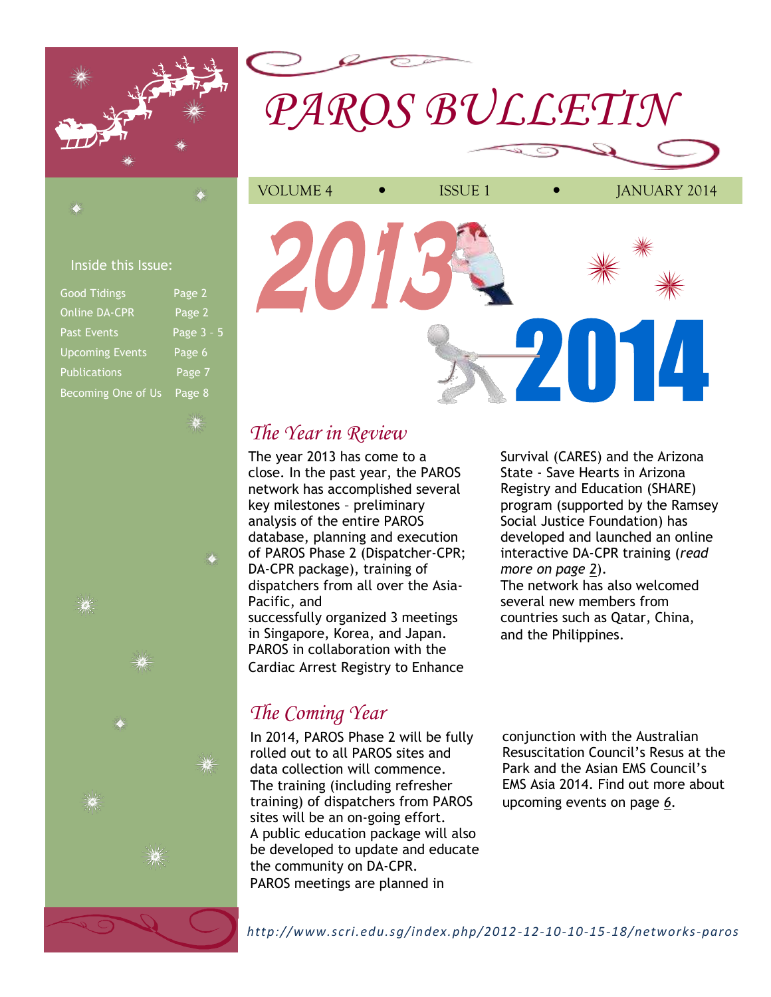

# *PAROS BULLETIN*

## Inside this Issue:

| <b>Good Tidings</b>       | Page 2     |
|---------------------------|------------|
| <b>Online DA-CPR</b>      | Page 2     |
| <b>Past Events</b>        | Page 3 - 5 |
| <b>Upcoming Events</b>    | Page 6     |
| <b>Publications</b>       | Page 7     |
| <b>Becoming One of Us</b> | Page 8     |



# *The Year in Review*

The year 2013 has come to a close. In the past year, the PAROS network has accomplished several key milestones – preliminary analysis of the entire PAROS database, planning and execution of PAROS Phase 2 (Dispatcher-CPR; DA-CPR package), training of dispatchers from all over the Asia-Pacific, and successfully organized 3 meetings in Singapore, Korea, and Japan. PAROS in collaboration with the Cardiac Arrest Registry to Enhance

# *The Coming Year*

In 2014, PAROS Phase 2 will be fully rolled out to all PAROS sites and data collection will commence. The training (including refresher training) of dispatchers from PAROS sites will be an on-going effort. A public education package will also be developed to update and educate the community on DA-CPR. PAROS meetings are planned in

Survival (CARES) and the Arizona State - Save Hearts in Arizona Registry and Education (SHARE) program (supported by the Ramsey Social Justice Foundation) has developed and launched an online interactive DA-CPR training (*read more on page 2*). The network has also welcomed several new members from countries such as Qatar, China,

and the Philippines.

conjunction with the Australian Resuscitation Council's Resus at the Park and the Asian EMS Council's EMS Asia 2014. Find out more about upcoming events on page *6*.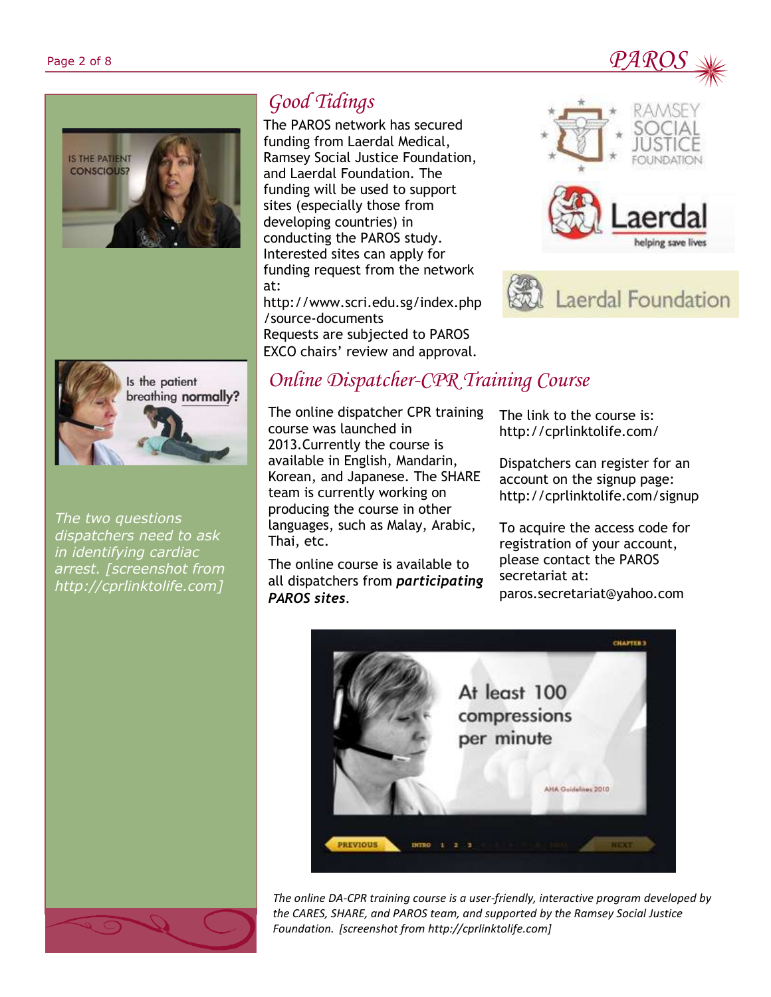





*The two questions dispatchers need to ask in identifying cardiac arrest. [screenshot from http://cprlinktolife.com]*

# *Good Tidings*

The PAROS network has secured funding from Laerdal Medical, Ramsey Social Justice Foundation, and Laerdal Foundation. The funding will be used to support sites (especially those from developing countries) in conducting the PAROS study. Interested sites can apply for funding request from the network at:

http://www.scri.edu.sg/index.php /source-documents Requests are subjected to PAROS EXCO chairs' review and approval.





# *Online Dispatcher-CPR Training Course*

The online dispatcher CPR training course was launched in 2013.Currently the course is available in English, Mandarin, Korean, and Japanese. The SHARE team is currently working on producing the course in other languages, such as Malay, Arabic, Thai, etc.

The online course is available to all dispatchers from *participating PAROS sites*.

The link to the course is: http://cprlinktolife.com/

Dispatchers can register for an account on the signup page: http://cprlinktolife.com/signup

To acquire the access code for registration of your account, please contact the PAROS secretariat at: paros.secretariat@yahoo.com



*The online DA-CPR training course is a user-friendly, interactive program developed by the CARES, SHARE, and PAROS team, and supported by the Ramsey Social Justice Foundation. [screenshot from http://cprlinktolife.com]*

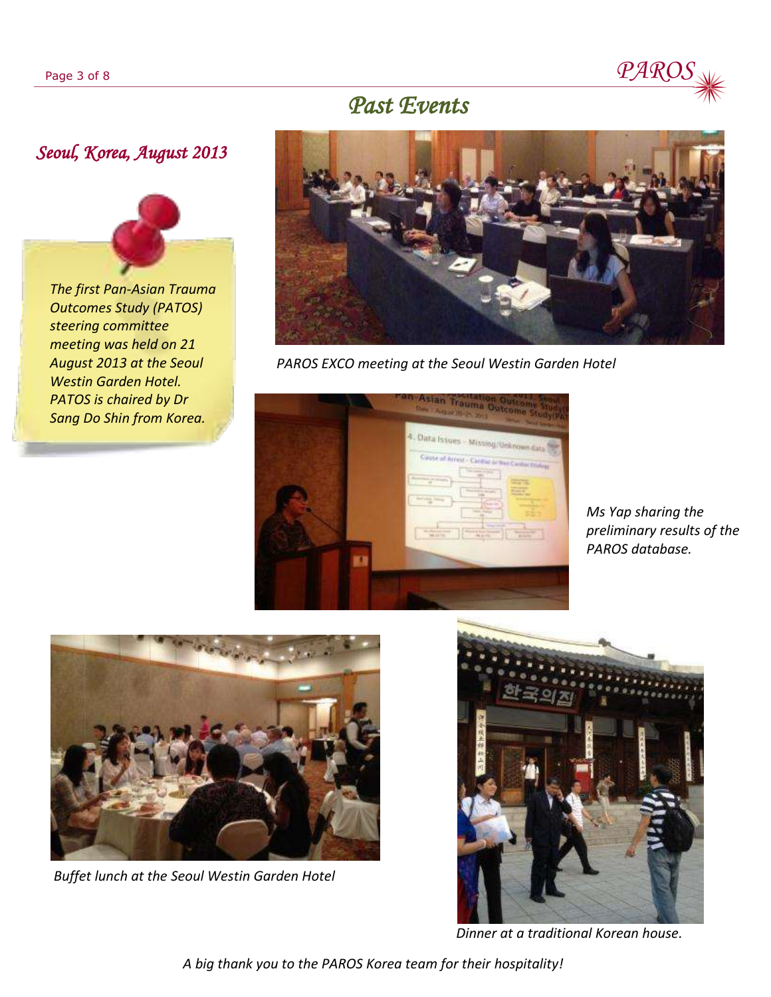

## *Past Events*

## *Seoul, Korea, August 2013*

*The first Pan-Asian Trauma Outcomes Study (PATOS) steering committee meeting was held on 21 August 2013 at the Seoul Westin Garden Hotel. PATOS is chaired by Dr Sang Do Shin from Korea.*



*PAROS EXCO meeting at the Seoul Westin Garden Hotel*



*Ms Yap sharing the preliminary results of the PAROS database.* 



*Buffet lunch at the Seoul Westin Garden Hotel*



*Dinner at a traditional Korean house.*

*A big thank you to the PAROS Korea team for their hospitality!*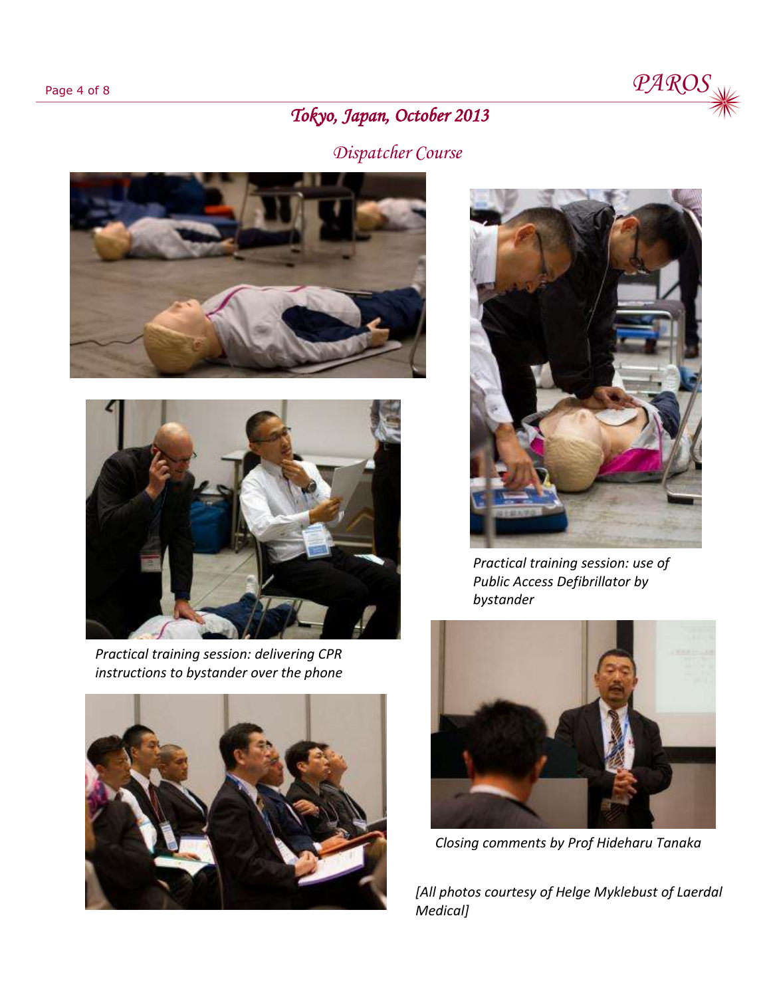

# *Tokyo, Japan, October 2013*

# *Dispatcher Course*





*Practical training session: delivering CPR instructions to bystander over the phone*





*Practical training session: use of Public Access Defibrillator by bystander*



*Closing comments by Prof Hideharu Tanaka* 

*[All photos courtesy of Helge Myklebust of Laerdal Medical]*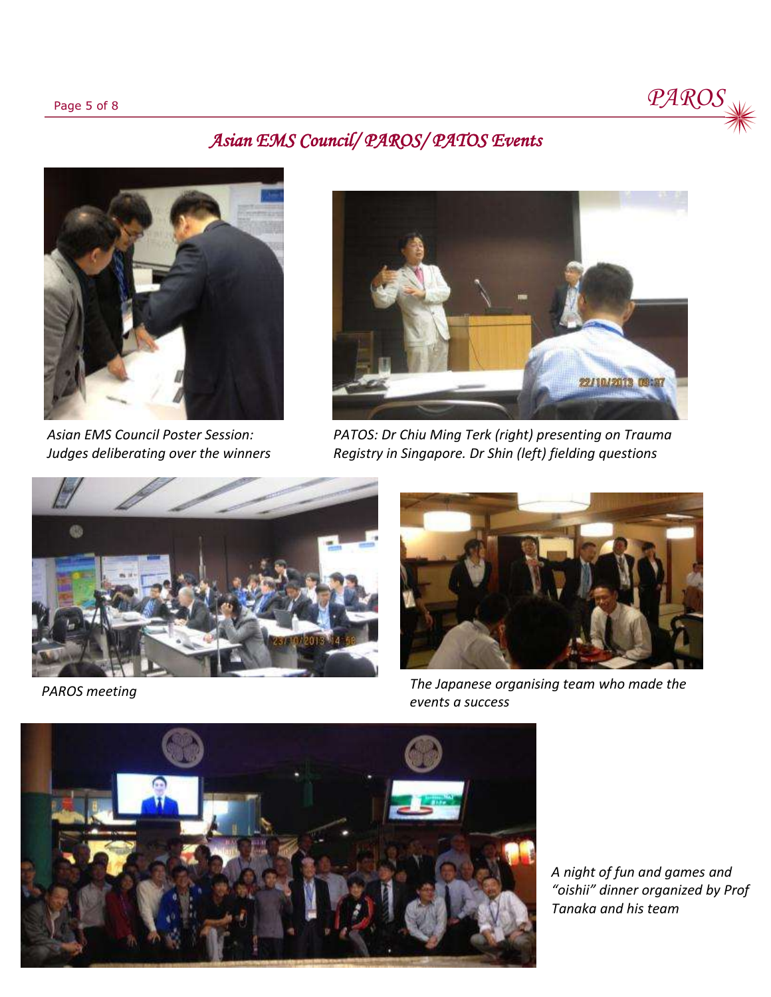

## *Asian EMS Council/ PAROS/ PATOS Events*



*Asian EMS Council Poster Session: Judges deliberating over the winners* 



*PATOS: Dr Chiu Ming Terk (right) presenting on Trauma Registry in Singapore. Dr Shin (left) fielding questions* 



*PAROS meeting*



*The Japanese organising team who made the events a success*



*A night of fun and games and "oishii" dinner organized by Prof Tanaka and his team*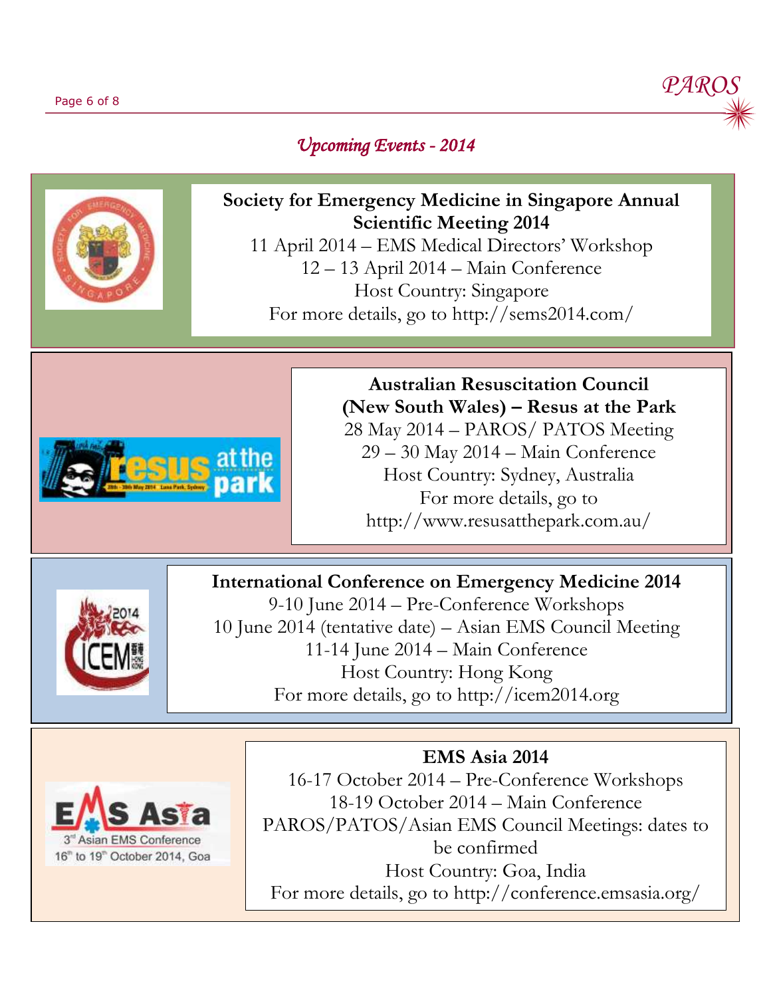

## *Upcoming Events - 2014*



**Society for Emergency Medicine in Singapore Annual Scientific Meeting 2014**

11 April 2014 – EMS Medical Directors' Workshop 12 – 13 April 2014 – Main Conference Host Country: Singapore For more details, go to http://sems2014.com/



**Australian Resuscitation Council (New South Wales) – Resus at the Park**

28 May 2014 – PAROS/ PATOS Meeting 29 – 30 May 2014 – Main Conference Host Country: Sydney, Australia For more details, go to http://www.resusatthepark.com.au/

## **International Conference on Emergency Medicine 2014**



9-10 June 2014 – Pre-Conference Workshops 10 June 2014 (tentative date) – Asian EMS Council Meeting 11-14 June 2014 – Main Conference Host Country: Hong Kong For more details, go to http://icem2014.org



**EMS Asia 2014**

16-17 October 2014 – Pre-Conference Workshops 18-19 October 2014 – Main Conference PAROS/PATOS/Asian EMS Council Meetings: dates to be confirmed Host Country: Goa, India For more details, go to http://conference.emsasia.org/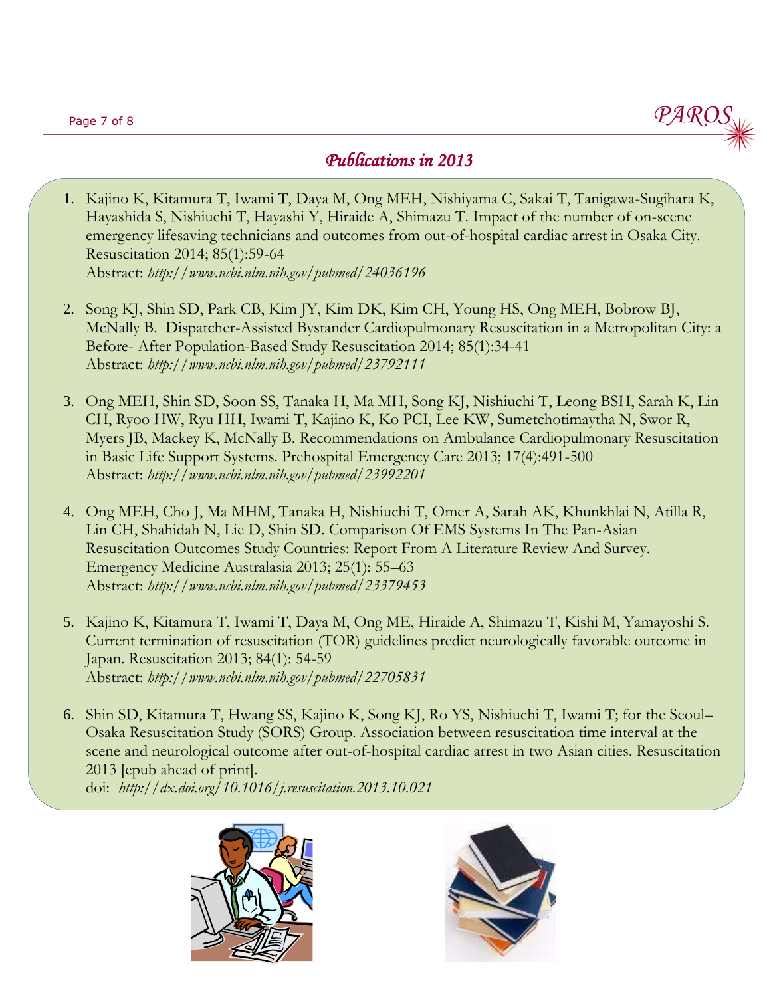

## *Publications in 2013*

- 1. Kajino K, Kitamura T, Iwami T, Daya M, Ong MEH, Nishiyama C, Sakai T, Tanigawa-Sugihara K, Hayashida S, Nishiuchi T, Hayashi Y, Hiraide A, Shimazu T. Impact of the number of on-scene emergency lifesaving technicians and outcomes from out-of-hospital cardiac arrest in Osaka City. Resuscitation 2014; 85(1):59-64 Abstract: *http://www.ncbi.nlm.nih.gov/pubmed/24036196*
- 2. Song KJ, Shin SD, Park CB, Kim JY, Kim DK, Kim CH, Young HS, Ong MEH, Bobrow BJ, McNally B. Dispatcher-Assisted Bystander Cardiopulmonary Resuscitation in a Metropolitan City: a Before- After Population-Based Study Resuscitation 2014; 85(1):34-41 Abstract: *http://www.ncbi.nlm.nih.gov/pubmed/23792111*
- 3. Ong MEH, Shin SD, Soon SS, Tanaka H, Ma MH, Song KJ, Nishiuchi T, Leong BSH, Sarah K, Lin CH, Ryoo HW, Ryu HH, Iwami T, Kajino K, Ko PCI, Lee KW, Sumetchotimaytha N, Swor R, Myers JB, Mackey K, McNally B. Recommendations on Ambulance Cardiopulmonary Resuscitation in Basic Life Support Systems. Prehospital Emergency Care 2013; 17(4):491-500 Abstract: *http://www.ncbi.nlm.nih.gov/pubmed/23992201*
- 4. Ong MEH, Cho J, Ma MHM, Tanaka H, Nishiuchi T, Omer A, Sarah AK, Khunkhlai N, Atilla R, Lin CH, Shahidah N, Lie D, Shin SD. Comparison Of EMS Systems In The Pan-Asian Resuscitation Outcomes Study Countries: Report From A Literature Review And Survey. Emergency Medicine Australasia 2013; 25(1): 55–63 Abstract: *http://www.ncbi.nlm.nih.gov/pubmed/23379453*
- 5. Kajino K, Kitamura T, Iwami T, Daya M, Ong ME, Hiraide A, Shimazu T, Kishi M, Yamayoshi S. Current termination of resuscitation (TOR) guidelines predict neurologically favorable outcome in Japan. Resuscitation 2013; 84(1): 54-59 Abstract: *http://www.ncbi.nlm.nih.gov/pubmed/22705831*
- 6. Shin SD, Kitamura T, Hwang SS, Kajino K, Song KJ, Ro YS, Nishiuchi T, Iwami T; for the Seoul– Osaka Resuscitation Study (SORS) Group. Association between resuscitation time interval at the scene and neurological outcome after out-of-hospital cardiac arrest in two Asian cities. Resuscitation 2013 [epub ahead of print].

doi: *http://dx.doi.org/10.1016/j.resuscitation.2013.10.021*